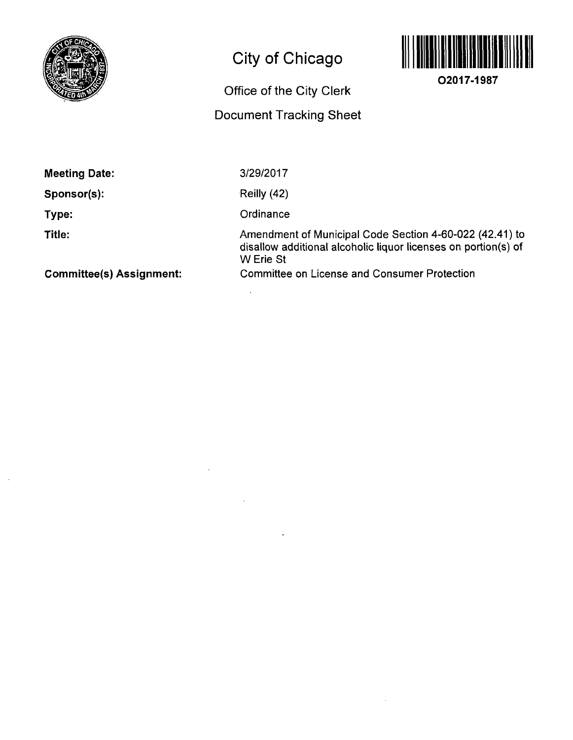

 $\hat{\boldsymbol{\cdot}$ 

# City of Chicago

## Office of the City Clerk

## Document Tracking Sheet



**02017-1987** 

| <b>Meeting Date:</b>            | 3/29/2017                                                                                                                              |
|---------------------------------|----------------------------------------------------------------------------------------------------------------------------------------|
| Sponsor(s):                     | Reilly (42)                                                                                                                            |
| Type:                           | Ordinance                                                                                                                              |
| Title:                          | Amendment of Municipal Code Section 4-60-022 (42.41) to<br>disallow additional alcoholic liquor licenses on portion(s) of<br>W Erie St |
| <b>Committee(s) Assignment:</b> | <b>Committee on License and Consumer Protection</b>                                                                                    |

 $\bar{z}$